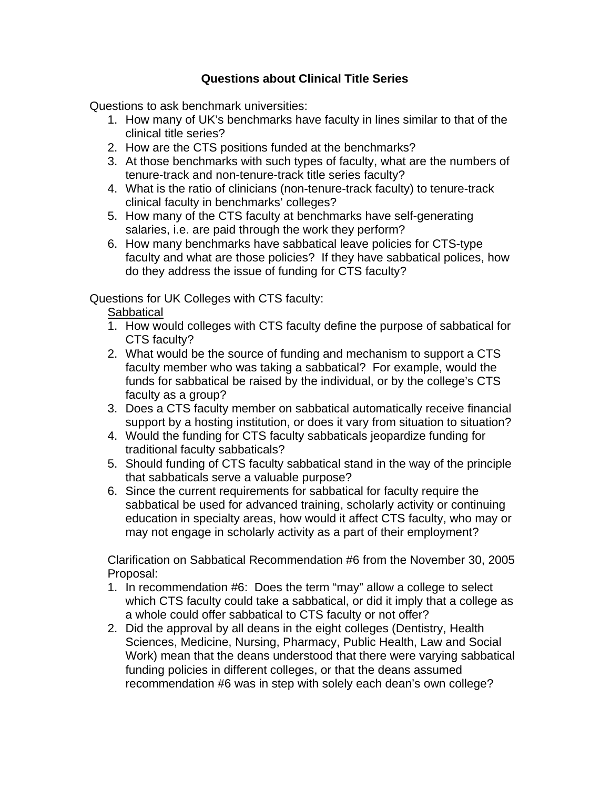## **Questions about Clinical Title Series**

Questions to ask benchmark universities:

- 1. How many of UK's benchmarks have faculty in lines similar to that of the clinical title series?
- 2. How are the CTS positions funded at the benchmarks?
- 3. At those benchmarks with such types of faculty, what are the numbers of tenure-track and non-tenure-track title series faculty?
- 4. What is the ratio of clinicians (non-tenure-track faculty) to tenure-track clinical faculty in benchmarks' colleges?
- 5. How many of the CTS faculty at benchmarks have self-generating salaries, i.e. are paid through the work they perform?
- 6. How many benchmarks have sabbatical leave policies for CTS-type faculty and what are those policies? If they have sabbatical polices, how do they address the issue of funding for CTS faculty?

Questions for UK Colleges with CTS faculty:

**Sabbatical** 

- 1. How would colleges with CTS faculty define the purpose of sabbatical for CTS faculty?
- 2. What would be the source of funding and mechanism to support a CTS faculty member who was taking a sabbatical? For example, would the funds for sabbatical be raised by the individual, or by the college's CTS faculty as a group?
- 3. Does a CTS faculty member on sabbatical automatically receive financial support by a hosting institution, or does it vary from situation to situation?
- 4. Would the funding for CTS faculty sabbaticals jeopardize funding for traditional faculty sabbaticals?
- 5. Should funding of CTS faculty sabbatical stand in the way of the principle that sabbaticals serve a valuable purpose?
- 6. Since the current requirements for sabbatical for faculty require the sabbatical be used for advanced training, scholarly activity or continuing education in specialty areas, how would it affect CTS faculty, who may or may not engage in scholarly activity as a part of their employment?

Clarification on Sabbatical Recommendation #6 from the November 30, 2005 Proposal:

- 1. In recommendation #6: Does the term "may" allow a college to select which CTS faculty could take a sabbatical, or did it imply that a college as a whole could offer sabbatical to CTS faculty or not offer?
- 2. Did the approval by all deans in the eight colleges (Dentistry, Health Sciences, Medicine, Nursing, Pharmacy, Public Health, Law and Social Work) mean that the deans understood that there were varying sabbatical funding policies in different colleges, or that the deans assumed recommendation #6 was in step with solely each dean's own college?